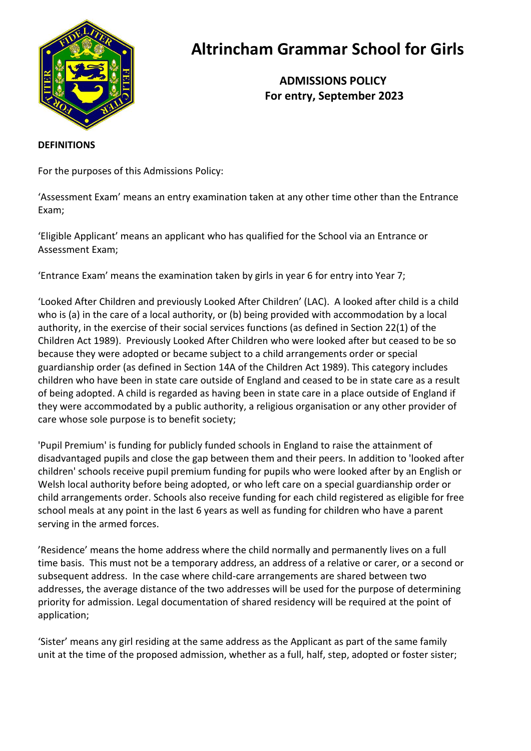

# **Altrincham Grammar School for Girls**

 **ADMISSIONS POLICY For entry, September 2023**

#### **DEFINITIONS**

For the purposes of this Admissions Policy:

'Assessment Exam' means an entry examination taken at any other time other than the Entrance Exam;

'Eligible Applicant' means an applicant who has qualified for the School via an Entrance or Assessment Exam;

'Entrance Exam' means the examination taken by girls in year 6 for entry into Year 7;

'Looked After Children and previously Looked After Children' (LAC). A looked after child is a child who is (a) in the care of a local authority, or (b) being provided with accommodation by a local authority, in the exercise of their social services functions (as defined in Section 22(1) of the Children Act 1989). Previously Looked After Children who were looked after but ceased to be so because they were adopted or became subject to a child arrangements order or special guardianship order (as defined in Section 14A of the Children Act 1989). This category includes children who have been in state care outside of England and ceased to be in state care as a result of being adopted. A child is regarded as having been in state care in a place outside of England if they were accommodated by a public authority, a religious organisation or any other provider of care whose sole purpose is to benefit society;

'Pupil Premium' is funding for publicly funded schools in England to raise the attainment of disadvantaged pupils and close the gap between them and their peers. In addition to 'looked after children' schools receive pupil premium funding for pupils who were looked after by an English or Welsh local authority before being adopted, or who left care on a special guardianship order or child arrangements order. Schools also receive funding for each child registered as eligible for free school meals at any point in the last 6 years as well as funding for children who have a parent serving in the armed forces.

'Residence' means the home address where the child normally and permanently lives on a full time basis. This must not be a temporary address, an address of a relative or carer, or a second or subsequent address. In the case where child-care arrangements are shared between two addresses, the average distance of the two addresses will be used for the purpose of determining priority for admission. Legal documentation of shared residency will be required at the point of application;

'Sister' means any girl residing at the same address as the Applicant as part of the same family unit at the time of the proposed admission, whether as a full, half, step, adopted or foster sister;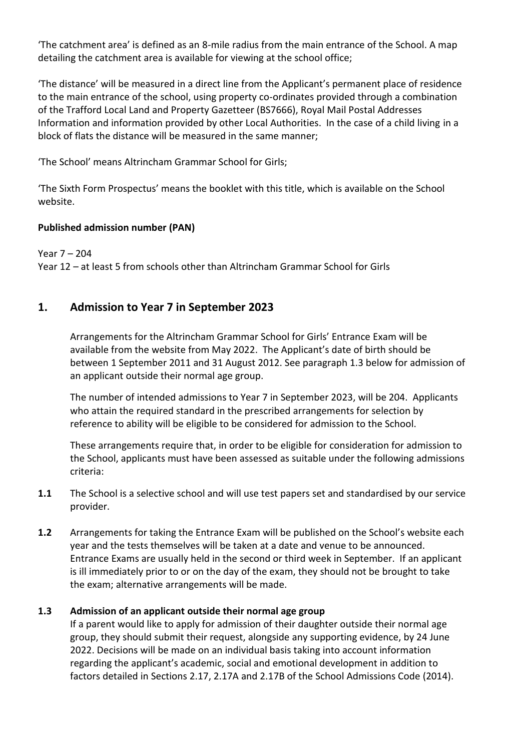'The catchment area' is defined as an 8-mile radius from the main entrance of the School. A map detailing the catchment area is available for viewing at the school office;

'The distance' will be measured in a direct line from the Applicant's permanent place of residence to the main entrance of the school, using property co-ordinates provided through a combination of the Trafford Local Land and Property Gazetteer (BS7666), Royal Mail Postal Addresses Information and information provided by other Local Authorities. In the case of a child living in a block of flats the distance will be measured in the same manner;

'The School' means Altrincham Grammar School for Girls;

'The Sixth Form Prospectus' means the booklet with this title, which is available on the School website.

## **Published admission number (PAN)**

Year 7 – 204 Year 12 – at least 5 from schools other than Altrincham Grammar School for Girls

# **1. Admission to Year 7 in September 2023**

Arrangements for the Altrincham Grammar School for Girls' Entrance Exam will be available from the website from May 2022. The Applicant's date of birth should be between 1 September 2011 and 31 August 2012. See paragraph 1.3 below for admission of an applicant outside their normal age group.

The number of intended admissions to Year 7 in September 2023, will be 204. Applicants who attain the required standard in the prescribed arrangements for selection by reference to ability will be eligible to be considered for admission to the School.

These arrangements require that, in order to be eligible for consideration for admission to the School, applicants must have been assessed as suitable under the following admissions criteria:

- **1.1** The School is a selective school and will use test papers set and standardised by our service provider.
- **1.2** Arrangements for taking the Entrance Exam will be published on the School's website each year and the tests themselves will be taken at a date and venue to be announced. Entrance Exams are usually held in the second or third week in September. If an applicant is ill immediately prior to or on the day of the exam, they should not be brought to take the exam; alternative arrangements will be made.

## **1.3 Admission of an applicant outside their normal age group**

If a parent would like to apply for admission of their daughter outside their normal age group, they should submit their request, alongside any supporting evidence, by 24 June 2022. Decisions will be made on an individual basis taking into account information regarding the applicant's academic, social and emotional development in addition to factors detailed in Sections 2.17, 2.17A and 2.17B of the School Admissions Code (2014).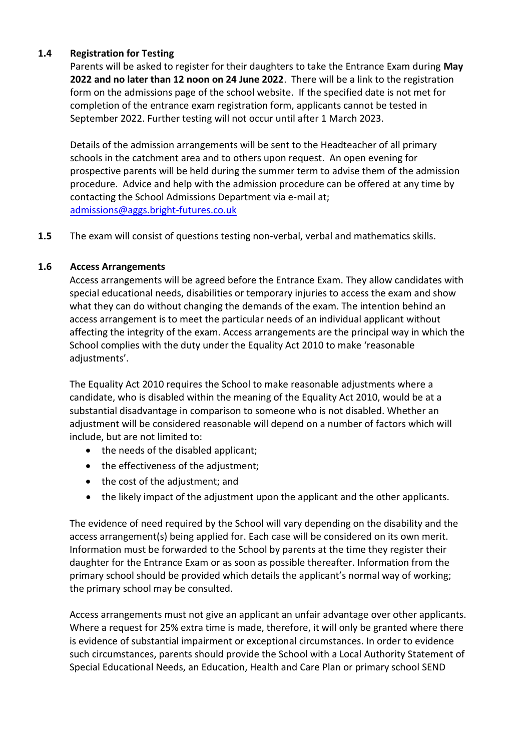## **1.4 Registration for Testing**

Parents will be asked to register for their daughters to take the Entrance Exam during **May 2022 and no later than 12 noon on 24 June 2022**. There will be a link to the registration form on the admissions page of the school website. If the specified date is not met for completion of the entrance exam registration form, applicants cannot be tested in September 2022. Further testing will not occur until after 1 March 2023.

Details of the admission arrangements will be sent to the Headteacher of all primary schools in the catchment area and to others upon request. An open evening for prospective parents will be held during the summer term to advise them of the admission procedure. Advice and help with the admission procedure can be offered at any time by contacting the School Admissions Department via e-mail at; [admissions@aggs.bright-futures.co.uk](mailto:admissions@aggs.bright-futures.co.uk)

**1.5** The exam will consist of questions testing non-verbal, verbal and mathematics skills.

## **1.6 Access Arrangements**

Access arrangements will be agreed before the Entrance Exam. They allow candidates with special educational needs, disabilities or temporary injuries to access the exam and show what they can do without changing the demands of the exam. The intention behind an access arrangement is to meet the particular needs of an individual applicant without affecting the integrity of the exam. Access arrangements are the principal way in which the School complies with the duty under the Equality Act 2010 to make 'reasonable adjustments'.

The Equality Act 2010 requires the School to make reasonable adjustments where a candidate, who is disabled within the meaning of the Equality Act 2010, would be at a substantial disadvantage in comparison to someone who is not disabled. Whether an adjustment will be considered reasonable will depend on a number of factors which will include, but are not limited to:

- the needs of the disabled applicant;
- the effectiveness of the adjustment;
- the cost of the adjustment; and
- the likely impact of the adjustment upon the applicant and the other applicants.

The evidence of need required by the School will vary depending on the disability and the access arrangement(s) being applied for. Each case will be considered on its own merit. Information must be forwarded to the School by parents at the time they register their daughter for the Entrance Exam or as soon as possible thereafter. Information from the primary school should be provided which details the applicant's normal way of working; the primary school may be consulted.

Access arrangements must not give an applicant an unfair advantage over other applicants. Where a request for 25% extra time is made, therefore, it will only be granted where there is evidence of substantial impairment or exceptional circumstances. In order to evidence such circumstances, parents should provide the School with a Local Authority Statement of Special Educational Needs, an Education, Health and Care Plan or primary school SEND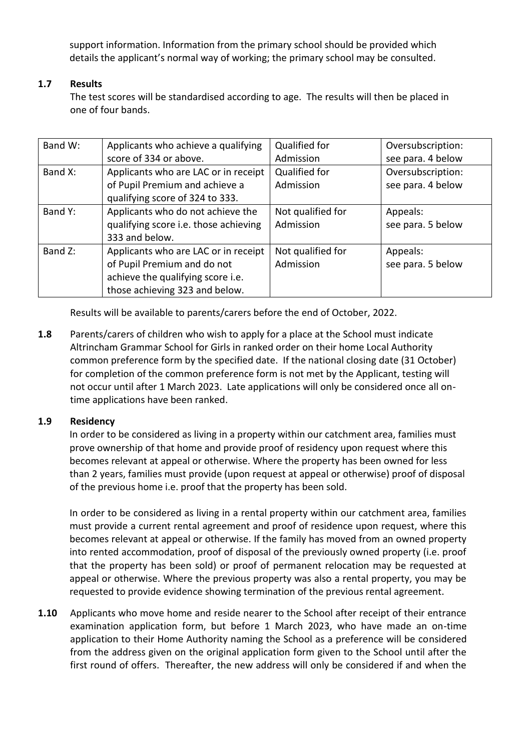support information. Information from the primary school should be provided which details the applicant's normal way of working; the primary school may be consulted.

## **1.7 Results**

The test scores will be standardised according to age. The results will then be placed in one of four bands.

| Band W: | Applicants who achieve a qualifying   | Qualified for     | Oversubscription: |
|---------|---------------------------------------|-------------------|-------------------|
|         | score of 334 or above.                | Admission         | see para. 4 below |
| Band X: | Applicants who are LAC or in receipt  | Qualified for     | Oversubscription: |
|         | of Pupil Premium and achieve a        | Admission         | see para. 4 below |
|         | qualifying score of 324 to 333.       |                   |                   |
| Band Y: | Applicants who do not achieve the     | Not qualified for | Appeals:          |
|         | qualifying score i.e. those achieving | Admission         | see para. 5 below |
|         | 333 and below.                        |                   |                   |
| Band Z: | Applicants who are LAC or in receipt  | Not qualified for | Appeals:          |
|         | of Pupil Premium and do not           | Admission         | see para. 5 below |
|         | achieve the qualifying score i.e.     |                   |                   |
|         | those achieving 323 and below.        |                   |                   |

Results will be available to parents/carers before the end of October, 2022.

**1.8** Parents/carers of children who wish to apply for a place at the School must indicate Altrincham Grammar School for Girls in ranked order on their home Local Authority common preference form by the specified date. If the national closing date (31 October) for completion of the common preference form is not met by the Applicant, testing will not occur until after 1 March 2023. Late applications will only be considered once all ontime applications have been ranked.

## **1.9 Residency**

In order to be considered as living in a property within our catchment area, families must prove ownership of that home and provide proof of residency upon request where this becomes relevant at appeal or otherwise. Where the property has been owned for less than 2 years, families must provide (upon request at appeal or otherwise) proof of disposal of the previous home i.e. proof that the property has been sold.

In order to be considered as living in a rental property within our catchment area, families must provide a current rental agreement and proof of residence upon request, where this becomes relevant at appeal or otherwise. If the family has moved from an owned property into rented accommodation, proof of disposal of the previously owned property (i.e. proof that the property has been sold) or proof of permanent relocation may be requested at appeal or otherwise. Where the previous property was also a rental property, you may be requested to provide evidence showing termination of the previous rental agreement.

**1.10** Applicants who move home and reside nearer to the School after receipt of their entrance examination application form, but before 1 March 2023, who have made an on-time application to their Home Authority naming the School as a preference will be considered from the address given on the original application form given to the School until after the first round of offers. Thereafter, the new address will only be considered if and when the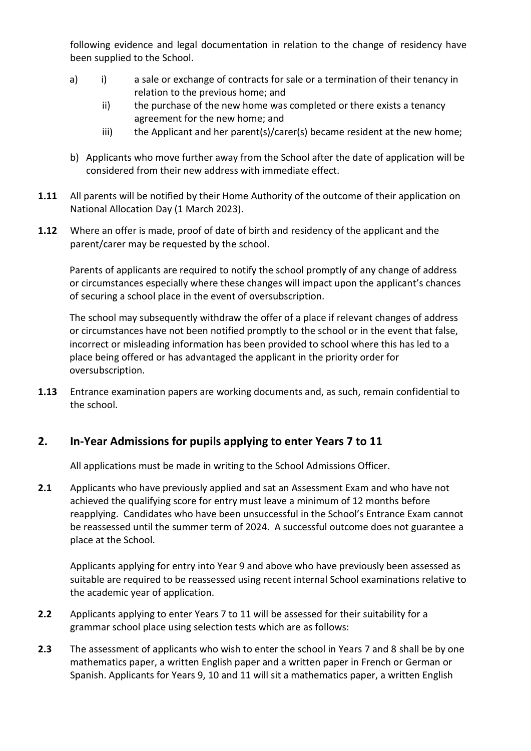following evidence and legal documentation in relation to the change of residency have been supplied to the School.

- a) i) a sale or exchange of contracts for sale or a termination of their tenancy in relation to the previous home; and
	- ii) the purchase of the new home was completed or there exists a tenancy agreement for the new home; and
	- iii) the Applicant and her parent(s)/carer(s) became resident at the new home;
- b) Applicants who move further away from the School after the date of application will be considered from their new address with immediate effect.
- **1.11** All parents will be notified by their Home Authority of the outcome of their application on National Allocation Day (1 March 2023).
- **1.12** Where an offer is made, proof of date of birth and residency of the applicant and the parent/carer may be requested by the school.

Parents of applicants are required to notify the school promptly of any change of address or circumstances especially where these changes will impact upon the applicant's chances of securing a school place in the event of oversubscription.

The school may subsequently withdraw the offer of a place if relevant changes of address or circumstances have not been notified promptly to the school or in the event that false, incorrect or misleading information has been provided to school where this has led to a place being offered or has advantaged the applicant in the priority order for oversubscription.

**1.13** Entrance examination papers are working documents and, as such, remain confidential to the school.

# **2. In-Year Admissions for pupils applying to enter Years 7 to 11**

All applications must be made in writing to the School Admissions Officer.

**2.1** Applicants who have previously applied and sat an Assessment Exam and who have not achieved the qualifying score for entry must leave a minimum of 12 months before reapplying. Candidates who have been unsuccessful in the School's Entrance Exam cannot be reassessed until the summer term of 2024. A successful outcome does not guarantee a place at the School.

Applicants applying for entry into Year 9 and above who have previously been assessed as suitable are required to be reassessed using recent internal School examinations relative to the academic year of application.

- **2.2** Applicants applying to enter Years 7 to 11 will be assessed for their suitability for a grammar school place using selection tests which are as follows:
- **2.3** The assessment of applicants who wish to enter the school in Years 7 and 8 shall be by one mathematics paper, a written English paper and a written paper in French or German or Spanish. Applicants for Years 9, 10 and 11 will sit a mathematics paper, a written English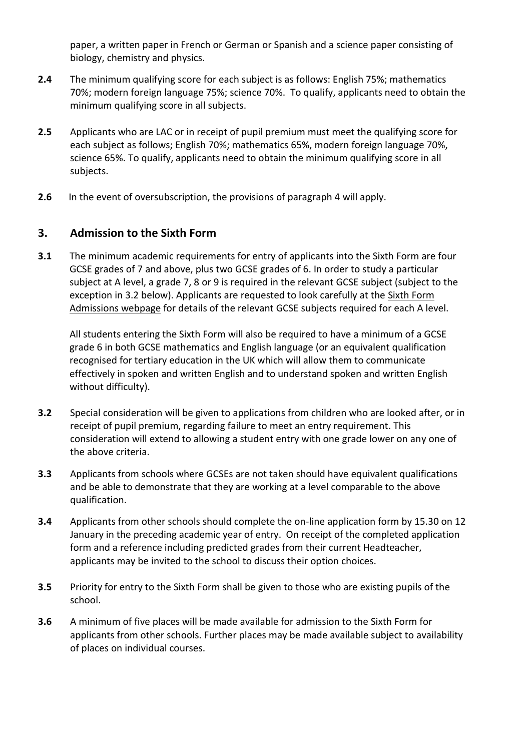paper, a written paper in French or German or Spanish and a science paper consisting of biology, chemistry and physics.

- **2.4** The minimum qualifying score for each subject is as follows: English 75%; mathematics 70%; modern foreign language 75%; science 70%. To qualify, applicants need to obtain the minimum qualifying score in all subjects.
- **2.5** Applicants who are LAC or in receipt of pupil premium must meet the qualifying score for each subject as follows; English 70%; mathematics 65%, modern foreign language 70%, science 65%. To qualify, applicants need to obtain the minimum qualifying score in all subjects.
- **2.6** In the event of oversubscription, the provisions of paragraph 4 will apply.

## **3. Admission to the Sixth Form**

**3.1** The minimum academic requirements for entry of applicants into the Sixth Form are four GCSE grades of 7 and above, plus two GCSE grades of 6. In order to study a particular subject at A level, a grade 7, 8 or 9 is required in the relevant GCSE subject (subject to the exception in 3.2 below). Applicants are requested to look carefully at the [Sixth Form](http://www.aggs.trafford.sch.uk/sixth-form/admissions/)  [Admissions](http://www.aggs.trafford.sch.uk/sixth-form/admissions/) webpage for details of the relevant GCSE subjects required for each A level.

All students entering the Sixth Form will also be required to have a minimum of a GCSE grade 6 in both GCSE mathematics and English language (or an equivalent qualification recognised for tertiary education in the UK which will allow them to communicate effectively in spoken and written English and to understand spoken and written English without difficulty).

- **3.2** Special consideration will be given to applications from children who are looked after, or in receipt of pupil premium, regarding failure to meet an entry requirement. This consideration will extend to allowing a student entry with one grade lower on any one of the above criteria.
- **3.3** Applicants from schools where GCSEs are not taken should have equivalent qualifications and be able to demonstrate that they are working at a level comparable to the above qualification.
- **3.4** Applicants from other schools should complete the on-line application form by 15.30 on 12 January in the preceding academic year of entry. On receipt of the completed application form and a reference including predicted grades from their current Headteacher, applicants may be invited to the school to discuss their option choices.
- **3.5** Priority for entry to the Sixth Form shall be given to those who are existing pupils of the school.
- **3.6** A minimum of five places will be made available for admission to the Sixth Form for applicants from other schools. Further places may be made available subject to availability of places on individual courses.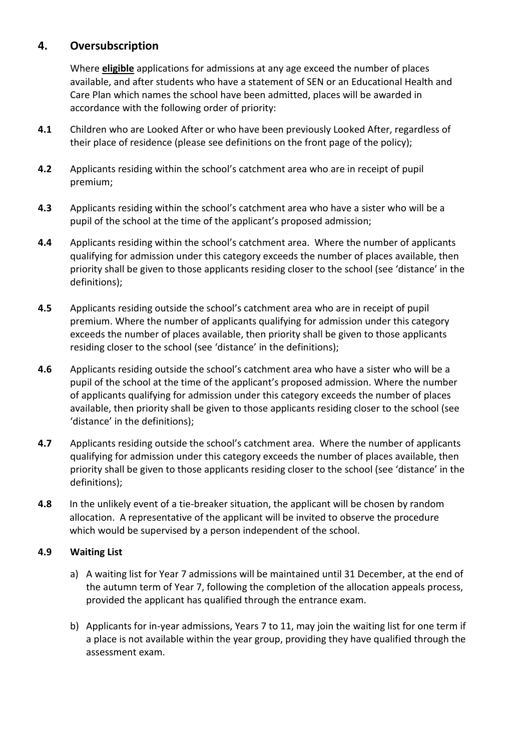# **4. Oversubscription**

Where **eligible** applications for admissions at any age exceed the number of places available, and after students who have a statement of SEN or an Educational Health and Care Plan which names the school have been admitted, places will be awarded in accordance with the following order of priority:

- **4.1** Children who are Looked After or who have been previously Looked After, regardless of their place of residence (please see definitions on the front page of the policy);
- **4.2** Applicants residing within the school's catchment area who are in receipt of pupil premium;
- **4.3** Applicants residing within the school's catchment area who have a sister who will be a pupil of the school at the time of the applicant's proposed admission;
- **4.4** Applicants residing within the school's catchment area. Where the number of applicants qualifying for admission under this category exceeds the number of places available, then priority shall be given to those applicants residing closer to the school (see 'distance' in the definitions);
- **4.5** Applicants residing outside the school's catchment area who are in receipt of pupil premium. Where the number of applicants qualifying for admission under this category exceeds the number of places available, then priority shall be given to those applicants residing closer to the school (see 'distance' in the definitions);
- **4.6** Applicants residing outside the school's catchment area who have a sister who will be a pupil of the school at the time of the applicant's proposed admission. Where the number of applicants qualifying for admission under this category exceeds the number of places available, then priority shall be given to those applicants residing closer to the school (see 'distance' in the definitions);
- **4.7** Applicants residing outside the school's catchment area. Where the number of applicants qualifying for admission under this category exceeds the number of places available, then priority shall be given to those applicants residing closer to the school (see 'distance' in the definitions);
- **4.8** In the unlikely event of a tie-breaker situation, the applicant will be chosen by random allocation. A representative of the applicant will be invited to observe the procedure which would be supervised by a person independent of the school.

## **4.9 Waiting List**

- a) A waiting list for Year 7 admissions will be maintained until 31 December, at the end of the autumn term of Year 7, following the completion of the allocation appeals process, provided the applicant has qualified through the entrance exam.
- b) Applicants for in-year admissions, Years 7 to 11, may join the waiting list for one term if a place is not available within the year group, providing they have qualified through the assessment exam.